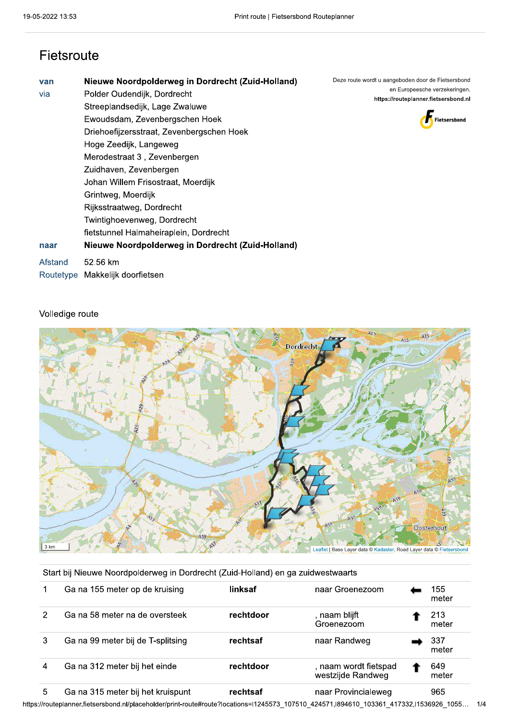### Fietsroute

| van<br>via | Nieuwe Noordpolderweg in Dordrecht (Zuid-Holland)<br>Polder Oudendijk, Dordrecht<br>Streeplandsedijk, Lage Zwaluwe<br>Ewoudsdam, Zevenbergschen Hoek<br>Driehoefijzersstraat, Zevenbergschen Hoek<br>Hoge Zeedijk, Langeweg<br>Merodestraat 3, Zevenbergen | Deze route wordt u aangeboden door de Fietsersbond<br>en Europeesche verzekeringen.<br>https://routeplanner.fietsersbond.nl<br><b>Fietsersbond</b> |
|------------|------------------------------------------------------------------------------------------------------------------------------------------------------------------------------------------------------------------------------------------------------------|----------------------------------------------------------------------------------------------------------------------------------------------------|
| naar       | Zuidhaven, Zevenbergen<br>Johan Willem Frisostraat, Moerdijk<br>Grintweg, Moerdijk<br>Rijksstraatweg, Dordrecht<br>Twintighoevenweg, Dordrecht<br>fietstunnel Halmaheiraplein, Dordrecht<br>Nieuwe Noordpolderweg in Dordrecht (Zuid-Holland)              |                                                                                                                                                    |
| Afstand    | 52.56 km<br>Routetype Makkelijk doorfietsen                                                                                                                                                                                                                |                                                                                                                                                    |



#### Volledige route



|  |  |  | Start bij Nieuwe Noordpolderweg in Dordrecht (Zuid-Holland) en ga zuidwestwaarts |
|--|--|--|----------------------------------------------------------------------------------|
|  |  |  |                                                                                  |

|   | Ga na 155 meter op de kruising    | linksaf   | naar Groenezoom                            | 155<br>meter |
|---|-----------------------------------|-----------|--------------------------------------------|--------------|
| 2 | Ga na 58 meter na de oversteek    | rechtdoor | , naam blijft<br>Groenezoom                | 213<br>meter |
|   | Ga na 99 meter bij de T-splitsing | rechtsaf  | naar Randweg                               | 337<br>meter |
|   | Ga na 312 meter bij het einde     | rechtdoor | , naam wordt fietspad<br>westzijde Randweg | 649<br>meter |
|   | Ga na 315 meter bij het kruispunt | rechtsaf  | naar Provincialeweg                        | 965          |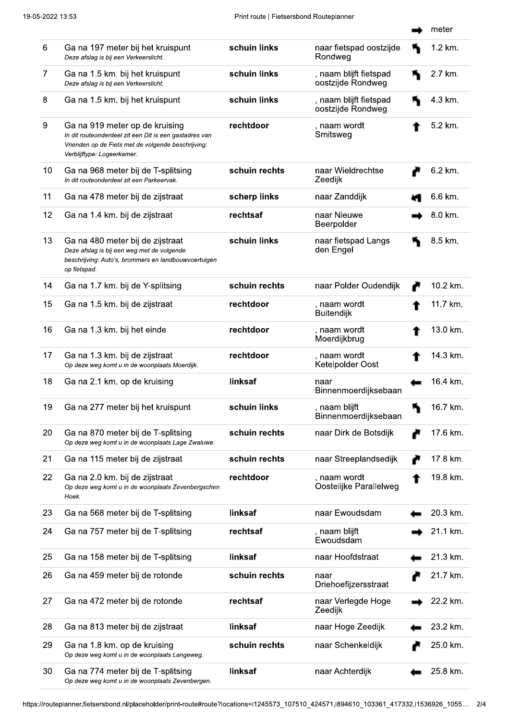|    |                                                                                                                                                                              |               |                                             | meter    |
|----|------------------------------------------------------------------------------------------------------------------------------------------------------------------------------|---------------|---------------------------------------------|----------|
| 6  | Ga na 197 meter bij het kruispunt<br>Deze afslag is bij een Verkeerslicht.                                                                                                   | schuin links  | naar fietspad oostzijde<br>Rondweg          | 1.2 km.  |
| 7  | Ga na 1.5 km. bij het kruispunt<br>Deze afslag is bij een Verkeerslicht.                                                                                                     | schuin links  | , naam blijft fietspad<br>oostzijde Rondweg | 2.7 km.  |
| 8  | Ga na 1.5 km. bij het kruispunt                                                                                                                                              | schuin links  | , naam blijft fietspad<br>oostzijde Rondweg | 4.3 km.  |
| 9  | Ga na 919 meter op de kruising<br>In dit routeonderdeel zit een Dit is een gastadres van<br>Vrienden op de Fiets met de volgende beschrijving:<br>Verblijftype: Logeerkamer. | rechtdoor     | , naam wordt<br>Smitsweg                    | 5.2 km.  |
| 10 | Ga na 968 meter bij de T-splitsing<br>In dit routeonderdeel zit een Parkeervak.                                                                                              | schuin rechts | naar Wieldrechtse<br>Zeedijk                | 6.2 km.  |
| 11 | Ga na 478 meter bij de zijstraat                                                                                                                                             | scherp links  | naar Zanddijk                               | 6.6 km.  |
| 12 | Ga na 1.4 km. bij de zijstraat                                                                                                                                               | rechtsaf      | naar Nieuwe<br>Beerpolder                   | 8.0 km.  |
| 13 | Ga na 480 meter bij de zijstraat<br>Deze afslag is bij een weg met de volgende<br>beschrijving: Auto's, brommers en landbouwvoertuigen<br>op fietspad.                       | schuin links  | naar fietspad Langs<br>den Engel            | 8.5 km.  |
| 14 | Ga na 1.7 km. bij de Y-splitsing                                                                                                                                             | schuin rechts | naar Polder Oudendijk                       | 10.2 km. |
| 15 | Ga na 1.5 km. bij de zijstraat                                                                                                                                               | rechtdoor     | , naam wordt<br><b>Buitendijk</b>           | 11.7 km. |
| 16 | Ga na 1.3 km. bij het einde                                                                                                                                                  | rechtdoor     | , naam wordt<br>Moerdijkbrug                | 13.0 km. |
| 17 | Ga na 1.3 km. bij de zijstraat<br>Op deze weg komt u in de woonplaats Moerdijk.                                                                                              | rechtdoor     | , naam wordt<br>Ketelpolder Oost            | 14.3 km. |
| 18 | Ga na 2.1 km. op de kruising                                                                                                                                                 | linksaf       | naar<br>Binnenmoerdijksebaan                | 16.4 km. |
| 19 | Ga na 277 meter bij het kruispunt                                                                                                                                            | schuin links  | , naam blijft<br>Binnenmoerdijksebaan       | 16.7 km. |
| 20 | Ga na 870 meter bij de T-splitsing<br>Op deze weg komt u in de woonplaats Lage Zwaluwe.                                                                                      | schuin rechts | naar Dirk de Botsdijk                       | 17.6 km. |
| 21 | Ga na 115 meter bij de zijstraat                                                                                                                                             | schuin rechts | naar Streeplandsedijk                       | 17.8 km. |
| 22 | Ga na 2.0 km. bij de zijstraat<br>Op deze weg komt u in de woonplaats Zevenbergschen<br>Hoek.                                                                                | rechtdoor     | , naam wordt<br>Oostelijke Parallelweg      | 19.8 km. |
| 23 | Ga na 568 meter bij de T-splitsing                                                                                                                                           | linksaf       | naar Ewoudsdam                              | 20.3 km. |
| 24 | Ga na 757 meter bij de T-splitsing                                                                                                                                           | rechtsaf      | , naam blijft<br>Ewoudsdam                  | 21.1 km. |
| 25 | Ga na 158 meter bij de T-splitsing                                                                                                                                           | linksaf       | naar Hoofdstraat                            | 21.3 km. |
| 26 | Ga na 459 meter bij de rotonde                                                                                                                                               | schuin rechts | naar<br>Driehoefijzersstraat                | 21.7 km. |
| 27 | Ga na 472 meter bij de rotonde                                                                                                                                               | rechtsaf      | naar Verlegde Hoge<br>Zeedijk               | 22.2 km. |
| 28 | Ga na 813 meter bij de zijstraat                                                                                                                                             | linksaf       | naar Hoge Zeedijk                           | 23.2 km. |
| 29 | Ga na 1.8 km. op de kruising<br>Op deze weg komt u in de woonplaats Langeweg.                                                                                                | schuin rechts | naar Schenkeldijk                           | 25.0 km. |
| 30 | Ga na 774 meter bij de T-splitsing<br>Op deze weg komt u in de woonplaats Zevenbergen.                                                                                       | linksaf       | naar Achterdijk                             | 25.8 km. |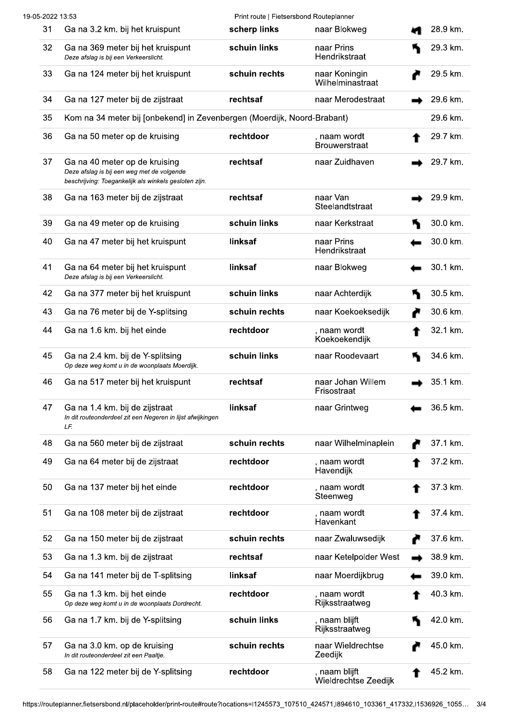| 19-05-2022 13:53 |                                                                                                                                      | Print route   Fietsersbond Routeplanner |                                       |          |
|------------------|--------------------------------------------------------------------------------------------------------------------------------------|-----------------------------------------|---------------------------------------|----------|
| 31               | Ga na 3.2 km. bij het kruispunt                                                                                                      | scherp links                            | naar Blokweg                          | 28.9 km. |
| 32               | Ga na 369 meter bij het kruispunt<br>Deze afslag is bij een Verkeerslicht.                                                           | schuin links                            | naar Prins<br>Hendrikstraat           | 29.3 km. |
| 33               | Ga na 124 meter bij het kruispunt                                                                                                    | schuin rechts                           | naar Koningin<br>Wilhelminastraat     | 29.5 km. |
| 34               | Ga na 127 meter bij de zijstraat                                                                                                     | rechtsaf                                | naar Merodestraat                     | 29.6 km. |
| 35               | Kom na 34 meter bij [onbekend] in Zevenbergen (Moerdijk, Noord-Brabant)                                                              |                                         |                                       | 29.6 km. |
| 36               | Ga na 50 meter op de kruising                                                                                                        | rechtdoor                               | , naam wordt<br><b>Brouwerstraat</b>  | 29.7 km. |
| 37               | Ga na 40 meter op de kruising<br>Deze afslag is bij een weg met de volgende<br>beschrijving: Toegankelijk als winkels gesloten zijn. | rechtsaf                                | naar Zuidhaven                        | 29.7 km. |
| 38               | Ga na 163 meter bij de zijstraat                                                                                                     | rechtsaf                                | naar Van<br>Steelandtstraat           | 29.9 km. |
| 39               | Ga na 49 meter op de kruising                                                                                                        | schuin links                            | naar Kerkstraat                       | 30.0 km. |
| 40               | Ga na 47 meter bij het kruispunt                                                                                                     | linksaf                                 | naar Prins<br>Hendrikstraat           | 30.0 km. |
| 41               | Ga na 64 meter bij het kruispunt<br>Deze afslag is bij een Verkeerslicht.                                                            | linksaf                                 | naar Blokweg                          | 30.1 km. |
| 42               | Ga na 377 meter bij het kruispunt                                                                                                    | schuin links                            | naar Achterdijk                       | 30.5 km. |
| 43               | Ga na 76 meter bij de Y-splitsing                                                                                                    | schuin rechts                           | naar Koekoeksedijk                    | 30.6 km. |
| 44               | Ga na 1.6 km. bij het einde                                                                                                          | rechtdoor                               | , naam wordt<br>Koekoekendijk         | 32.1 km. |
| 45               | Ga na 2.4 km. bij de Y-splitsing<br>Op deze weg komt u in de woonplaats Moerdijk.                                                    | schuin links                            | naar Roodevaart                       | 34.6 km. |
| 46               | Ga na 517 meter bij het kruispunt                                                                                                    | rechtsaf                                | naar Johan Willem<br>Frisostraat      | 35.1 km. |
| 47               | Ga na 1.4 km. bij de zijstraat<br>In dit routeonderdeel zit een Negeren in lijst afwijkingen<br>LF.                                  | linksaf                                 | naar Grintweg                         | 36.5 km. |
| 48               | Ga na 560 meter bij de zijstraat                                                                                                     | schuin rechts                           | naar Wilhelminaplein                  | 37.1 km. |
| 49               | Ga na 64 meter bij de zijstraat                                                                                                      | rechtdoor                               | , naam wordt<br>Havendijk             | 37.2 km. |
| 50               | Ga na 137 meter bij het einde                                                                                                        | rechtdoor                               | , naam wordt<br>Steenweg              | 37.3 km. |
| 51               | Ga na 108 meter bij de zijstraat                                                                                                     | rechtdoor                               | , naam wordt<br>Havenkant             | 37.4 km. |
| 52               | Ga na 150 meter bij de zijstraat                                                                                                     | schuin rechts                           | naar Zwaluwsedijk                     | 37.6 km. |
| 53               | Ga na 1.3 km. bij de zijstraat                                                                                                       | rechtsaf                                | naar Ketelpolder West                 | 38.9 km. |
| 54               | Ga na 141 meter bij de T-splitsing                                                                                                   | linksaf                                 | naar Moerdijkbrug                     | 39.0 km. |
| 55               | Ga na 1.3 km. bij het einde<br>Op deze weg komt u in de woonplaats Dordrecht.                                                        | rechtdoor                               | , naam wordt<br>Rijksstraatweg        | 40.3 km. |
| 56               | Ga na 1.7 km. bij de Y-splitsing                                                                                                     | schuin links                            | , naam blijft<br>Rijksstraatweg       | 42.0 km. |
| 57               | Ga na 3.0 km. op de kruising<br>In dit routeonderdeel zit een Paaltje.                                                               | schuin rechts                           | naar Wieldrechtse<br>Zeedijk          | 45.0 km. |
| 58               | Ga na 122 meter bij de Y-splitsing                                                                                                   | rechtdoor                               | , naam blijft<br>Wieldrechtse Zeedijk | 45.2 km. |